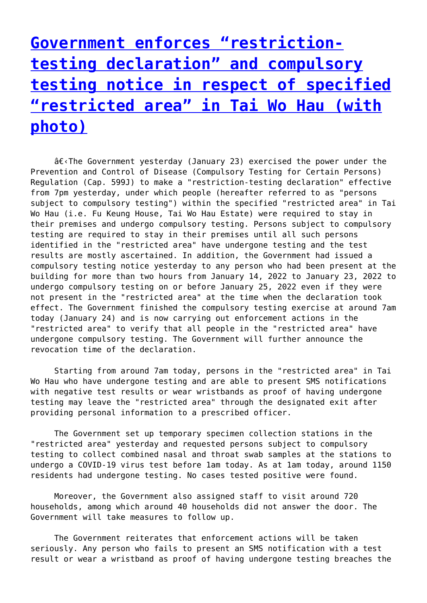## **[Government enforces "restriction](http://www.government-world.com/government-enforces-restriction-testing-declaration-and-compulsory-testing-notice-in-respect-of-specified-restricted-area-in-tai-wo-hau-with-photo/)[testing declaration" and compulsory](http://www.government-world.com/government-enforces-restriction-testing-declaration-and-compulsory-testing-notice-in-respect-of-specified-restricted-area-in-tai-wo-hau-with-photo/) [testing notice in respect of specified](http://www.government-world.com/government-enforces-restriction-testing-declaration-and-compulsory-testing-notice-in-respect-of-specified-restricted-area-in-tai-wo-hau-with-photo/) ["restricted area" in Tai Wo Hau \(with](http://www.government-world.com/government-enforces-restriction-testing-declaration-and-compulsory-testing-notice-in-respect-of-specified-restricted-area-in-tai-wo-hau-with-photo/) [photo\)](http://www.government-world.com/government-enforces-restriction-testing-declaration-and-compulsory-testing-notice-in-respect-of-specified-restricted-area-in-tai-wo-hau-with-photo/)**

 $\hat{\sigma} \in \{$ . The Government yesterday (January 23) exercised the power under the Prevention and Control of Disease (Compulsory Testing for Certain Persons) Regulation (Cap. 599J) to make a "restriction-testing declaration" effective from 7pm yesterday, under which people (hereafter referred to as "persons subject to compulsory testing") within the specified "restricted area" in Tai Wo Hau (i.e. Fu Keung House, Tai Wo Hau Estate) were required to stay in their premises and undergo compulsory testing. Persons subject to compulsory testing are required to stay in their premises until all such persons identified in the "restricted area" have undergone testing and the test results are mostly ascertained. In addition, the Government had issued a compulsory testing notice yesterday to any person who had been present at the building for more than two hours from January 14, 2022 to January 23, 2022 to undergo compulsory testing on or before January 25, 2022 even if they were not present in the "restricted area" at the time when the declaration took effect. The Government finished the compulsory testing exercise at around 7am today (January 24) and is now carrying out enforcement actions in the "restricted area" to verify that all people in the "restricted area" have undergone compulsory testing. The Government will further announce the revocation time of the declaration.

 Starting from around 7am today, persons in the "restricted area" in Tai Wo Hau who have undergone testing and are able to present SMS notifications with negative test results or wear wristbands as proof of having undergone testing may leave the "restricted area" through the designated exit after providing personal information to a prescribed officer.

 The Government set up temporary specimen collection stations in the "restricted area" yesterday and requested persons subject to compulsory testing to collect combined nasal and throat swab samples at the stations to undergo a COVID-19 virus test before 1am today. As at 1am today, around 1150 residents had undergone testing. No cases tested positive were found.

 Moreover, the Government also assigned staff to visit around 720 households, among which around 40 households did not answer the door. The Government will take measures to follow up.

 The Government reiterates that enforcement actions will be taken seriously. Any person who fails to present an SMS notification with a test result or wear a wristband as proof of having undergone testing breaches the